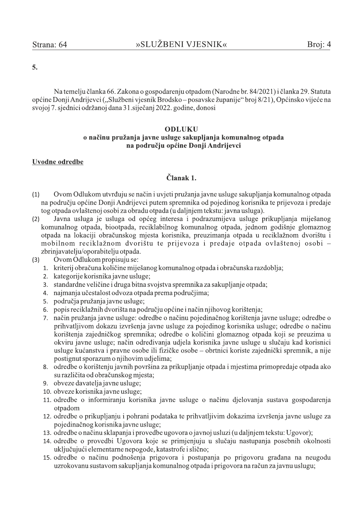$5.$ 

Na temelju članka 66. Zakona o gospodarenju otpadom (Narodne br. 84/2021) i članka 29. Statuta općine Donji Andrijevci ("Službeni vjesnik Brodsko – posavske županije" broj 8/21), Općinsko vijeće na svojoj 7. sjednici održanoj dana 31. siječanj 2022. godine, donosi

### **ODLUKU**

#### o načinu pružanja javne usluge sakupljanja komunalnog otpada na području općine Donji Andrijevci

#### **Uvodne odredbe**

### Članak 1.

- Ovom Odlukom utvrđuju se način i uvjeti pružanja javne usluge sakupljanja komunalnog otpada  $(1)$ na području općine Donji Andrijevci putem spremnika od pojedinog korisnika te prijevoza i predaje tog otpada ovlaštenoj osobi za obradu otpada (u dalinjem tekstu: javna usluga).
- Javna usluga je usluga od općeg interesa i podrazumijeva usluge prikupljanja miješanog  $(2)$ komunalnog otpada, biootpada, reciklabilnog komunalnog otpada, jednom godišnje glomaznog otpada na lokaciji obračunskog mjesta korisnika, preuzimanja otpada u reciklažnom dvorištu i mobilnom reciklažnom dvorištu te prijevoza i predaje otpada ovlaštenoj osobi zbrinjavatelju/oporabitelju otpada.
- Ovom Odlukom propisuju se:  $(3)$ 
	- 1. kriterij obračuna količine miješanog komunalnog otpada i obračunska razdoblja;
	- 2. kategorije korisnika javne usluge;
	- 3. standardne veličine i druga bitna svojstva spremnika za sakupljanje otpada;
	- 4. najmanja učestalost odvoza otpada prema područjima;
	- 5. područja pružanja javne usluge;
	- 6. popis reciklažnih dvorišta na području općine i način njihovog korištenja;
	- 7. način pružania javne usluge: odredbe o načinu pojedinačnog korištenia javne usluge; odredbe o prihvatljivom dokazu izvršenja javne usluge za pojedinog korisnika usluge; odredbe o načinu korištenja zajedničkog spremnika; odredbe o količini glomaznog otpada koji se preuzima u okviru javne usluge; način određivanja udjela korisnika javne usluge u slučaju kad korisnici usluge kućanstva i pravne osobe ili fizičke osobe – obrtnici koriste zajednički spremnik, a nije postignut sporazum o nijhovim udielima:
	- 8. odredbe o korištenju javnih površina za prikupljanje otpada i mjestima primopredaje otpada ako su različita od obračunskog mjesta;
	- 9. obveze davatelja javne usluge;
	- 10. obveze korisnika javne usluge;
	- 11. odredbe o informiranju korisnika javne usluge o načinu djelovanja sustava gospodarenja otpadom
	- 12. odredbe o prikupljanju i pohrani podataka te prihvatljivim dokazima izvršenja javne usluge za pojedinačnog korisnika javne usluge:
	- 13. odredbe o načinu sklapanja i provedbe ugovora o javnoj usluzi (u daljnjem tekstu: Ugovor);
	- 14. odredbe o provedbi Ugovora koje se primjenjuju u slučaju nastupanja posebnih okolnosti uključujući elementarne nepogode, katastrofe i slično;
	- 15. odredbe o načinu podnošenja prigovora i postupanja po prigovoru građana na neugodu uzrokovanu sustavom sakupliania komunalnog otpada i prigovora na račun za javnu uslugu: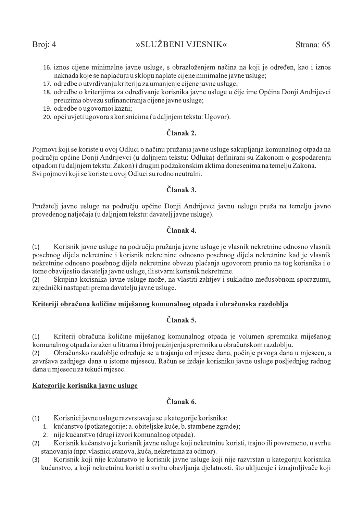- 16. iznos cijene minimalne javne usluge, s obrazloženjem načina na koji je određen, kao i iznos naknada koje se naplaćuju u sklopu naplate cijene minimalne javne usluge;
- 17. odredbe o utvrđivanju kriterija za umanjenje cijene javne usluge;
- 18. odredbe o kriterijima za određivanje korisnika javne usluge u čije ime Općina Donji Andrijevci preuzima obvezu sufinanciranja cijene javne usluge;
- 19. odredbe o ugovornoj kazni;
- 20. opći uvjeti ugovora s korisnicima (u daljnjem tekstu: Ugovor).

## Članak 2.

Pojmovi koji se koriste u ovoj Odluci o načinu pružanja javne usluge sakupljanja komunalnog otpada na području općine Donji Andrijevci (u daljnjem tekstu: Odluka) definirani su Zakonom o gospodarenju otpadom (u daljnjem tekstu: Zakon) i drugim podzakonskim aktima donesenima na temelju Zakona. Svi pojmovi koji se koriste u ovoj Odluci su rodno neutralni.

### Članak 3.

Pružatelj javne usluge na području općine Donji Andrijevci javnu uslugu pruža na temelju javno provedenog natječaja (u daljnjem tekstu: davatelj javne usluge).

## Članak 4.

Korisnik javne usluge na području pružanja javne usluge je vlasnik nekretnine odnosno vlasnik  $(1)$ posebnog dijela nekretnine i korisnik nekretnine odnosno posebnog dijela nekretnine kad je vlasnik nekretnine odnosno posebnog dijela nekretnine obvezu plaćanja ugovorom prenio na tog korisnika i o tome obavijestio davatelja javne usluge, ili stvarni korisnik nekretnine.

Skupina korisnika javne usluge može, na vlastiti zahtjev i sukladno međusobnom sporazumu,  $(2)$ zajednički nastupati prema davatelju javne usluge.

### Kriteriji obračuna količine miješanog komunalnog otpada i obračunska razdoblja

### Članak 5.

 $(1)$ Kriterij obračuna količine miješanog komunalnog otpada je volumen spremnika miješanog komunalnog otpada izražen u litrama i broj pražnjenja spremnika u obračunskom razdoblju.

Obračunsko razdoblje određuje se u trajanju od mjesec dana, počinje prvoga dana u mjesecu, a  $(2)$ završava zadnjega dana u istome mjesecu. Račun se izdaje korisniku javne usluge posljednjeg radnog dana u mjesecu za tekući mjesec.

### Kategorije korisnika javne usluge

# Članak 6.

- Korisnici javne usluge razvrstavaju se u kategorije korisnika:  $(1)$ 
	- 1. kućanstvo (potkategorije: a. obiteljske kuće, b. stambene zgrade);
	- 2. nije kućanstvo (drugi izvori komunalnog otpada).
- Korisnik kućanstvo je korisnik javne usluge koji nekretninu koristi, trajno ili povremeno, u svrhu  $(2)$ stanovanja (npr. vlasnici stanova, kuća, nekretnina za odmor).
- Korisnik koji nije kućanstvo je korisnik javne usluge koji nije razvrstan u kategoriju korisnika  $(3)$ kućanstvo, a koji nekretninu koristi u svrhu obavljanja djelatnosti, što uključuje i iznajmljivače koji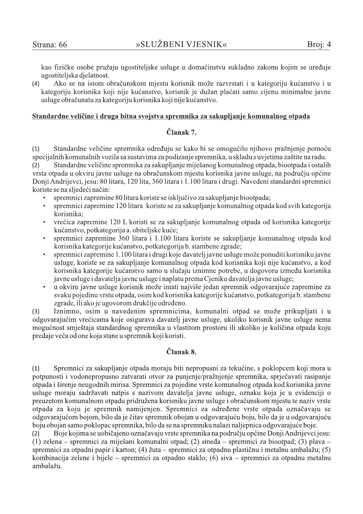kao fizičke osobe pružaju ugostiteljske usluge u domaćinstvu sukladno zakonu kojim se uređuje ugostiteljska djelatnost.

 $(4)$ Ako se na istom obračunskom mjestu korisnik može razvrstati i u kategoriju kućanstvo i u kategoriju korisnika koji nije kućanstvo, korisnik je dužan plaćati samo cijenu minimalne javne usluge obračunatu za kategoriju korisnika koji nije kućanstvo.

#### Standardne veličine i druga bitna svojstva spremnika za sakupljanje komunalnog otpada

### Članak 7.

Standardne veličine spremnika određuju se kako bi se omogućilo njihovo pražnjenje pomoću  $(1)$ specijalnih komunalnih vozila sa sustavima za podizanje spremnika, u skladu s uvjetima zaštite na radu.

 $(2)$ Standardne veličine spremnika za sakupljanje miješanog komunalnog otpada, biootpada i ostalih vrsta otpada u okviru javne usluge na obračunskom mjestu korisnika javne usluge, na području općine Donji Andrijevci, jesu: 80 litara, 120 lita, 360 litara i 1.100 litara i drugi. Navedeni standardni spremnici koriste se na sljedeći način:

- spremnici zapremine 80 litara koriste se isključivo za sakupljanje biootpada;
- spremnici zapremine 120 litara koriste se za sakupljanje komunalnog otpada kod svih kategorija korisnika:
- vrećica zapremine 120 L koristi se za sakupljanje komunalnog otpada od korisnika kategorije kućanstvo, potkategorija a. obiteljske kuće;
- spremnici zapremine 360 litara i 1.100 litara koriste se sakupljanje komunalnog otpada kod korisnika kategorije kućanstvo, potkategorija b. stambene zgrade;
- spremnici zapremine 1.100 litara i drugi koje davatelj javne usluge može ponuditi korisniku javne usluge, koriste se za sakupljanje komunalnog otpada kod korisnika koji nije kućanstvo, a kod korisnika kategorije kućanstvo samo u slučaju iznimne potrebe, u dogovoru između korisnika javne usluge i davatelja javne usluge i naplatu prema Cjeniku davatelja javne usluge;
- u okviru javne usluge korisnik može imati najviše jedan spremnik odgovarajuće zapremine za svaku pojedinu vrstu otpada, osim kod korisnika kategorije kućanstvo, potkategorija b. stambene zgrade, ili ako je ugovorom drukčije određeno.

Iznimno, osim u navedenim spremnicima, komunalni otpad se može prikupljati i u  $(3)$ odgovarajućim vrećicama koje osigurava davatelj javne usluge, ukoliko korisnik javne usluge nema mogućnost smještaja standardnog spremnika u vlastitom prostoru ili ukoliko je količina otpada koju predaje veća od one koja stane u spremnik koji koristi.

#### Članak 8.

Spremnici za sakupljanje otpada moraju biti nepropusni za tekućine, s poklopcem koji mora u  $(1)$ potpunosti i vodonepropusno zatvarati otvor za punjenje/pražnjenje spremnika, sprječavati rasipanje otpada i širenje neugodnih mirisa. Spremnici za pojedine vrste komunalnog otpada kod korisnika javne usluge moraju sadržavati natpis s nazivom davatelja javne usluge, oznaku koja je u evidenciji o preuzetom komunalnom otpadu pridružena korisniku javne usluge i obračunskom mjestu te naziv vrste otpada za koju je spremnik namijenjen. Spremnici za određene vrste otpada označavaju se odgovarajućom bojom, bilo da je čitav spremnik obojan u odgovarajuću boju, bilo da je u odgovarajuću boju obojan samo poklopac spremnika, bilo da se na spremniku nalazi naljepnica odgovarajuće boje.

Boje kojima se uobičajeno označavaju vrste spremnika na području općine Donji Andrijevci jesu:  $(2)$ (1) zelena – spremnici za miješani komunalni otpad; (2) smeđa – spremnici za biootpad; (3) plava – spremnici za otpadni papir i karton; (4) žuta – spremnici za otpadnu plastičnu i metalnu ambalažu; (5) kombinacija zelene i bijele – spremnici za otpadno staklo; (6) siva – spremnici za otpadnu metalnu ambalažu.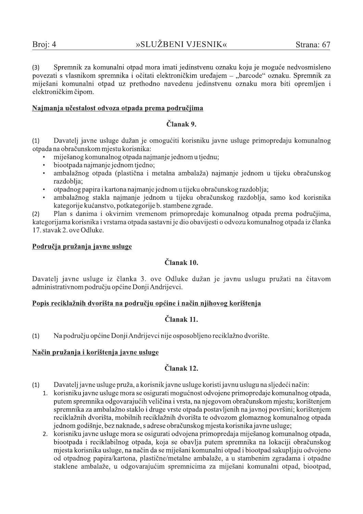Spremnik za komunalni otpad mora imati jedinstvenu oznaku koju je moguće nedvosmisleno  $(3)$ povezati s vlasnikom spremnika i očitati elektroničkim uređajem - "barcode" oznaku. Spremnik za miješani komunalni otpad uz prethodno navedenu jedinstvenu oznaku mora biti opremljen i elektroničkim čipom.

#### Najmanja učestalost odvoza otpada prema područjima

#### Članak 9.

Davatelj javne usluge dužan je omogućiti korisniku javne usluge primopredaju komunalnog  $(1)$ otpada na obračunskom mjestu korisnika:

- miješanog komunalnog otpada najmanje jednom u tjednu;
- biootpada najmanje jednom tjedno;
- ambalažnog otpada (plastična i metalna ambalaža) najmanje jednom u tijeku obračunskog  $\bullet$ razdoblja;
- otpadnog papira i kartona najmanje jednom u tijeku obračunskog razdoblja;
- ambalažnog stakla najmanje jednom u tijeku obračunskog razdoblja, samo kod korisnika kategorije kućanstvo, potkategorije b. stambene zgrade.

Plan s danima i okvirnim vremenom primopredaje komunalnog otpada prema područjima,  $(2)$ kategorijama korisnika i vrstama otpada sastavni je dio obavijesti o odvozu komunalnog otpada iz članka 17. stavak 2. ove Odluke.

#### Područja pružanja javne usluge

## Članak 10.

Davateli javne usluge iz članka 3. ove Odluke dužan je javnu uslugu pružati na čitavom administrativnom području općine Donji Andrijevci.

### Popis reciklažnih dvorišta na području općine i način njihovog korištenja

## Članak 11.

Na području općine Donji Andrijevci nije osposobljeno reciklažno dvorište.  $(1)$ 

### Način pružanja i korištenja javne usluge

## Članak 12.

- $(1)$ Davatelj javne usluge pruža, a korisnik javne usluge koristi javnu uslugu na sljedeći način:
	- 1. korisniku javne usluge mora se osigurati mogućnost odvojene primopredaje komunalnog otpada, putem spremnika odgovarajućih veličina i vrsta, na njegovom obračunskom mjestu; korištenjem spremnika za ambalažno staklo i druge vrste otpada postavljenih na javnoj površini; korištenjem reciklažnih dvorišta, mobilnih reciklažnih dvorišta te odvozom glomaznog komunalnog otpada jednom godišnje, bez naknade, s adrese obračunskog mjesta korisnika javne usluge;
		- 2. korisniku javne usluge mora se osigurati odvojena primopredaja miješanog komunalnog otpada, biootpada i reciklabilnog otpada, koja se obavlja putem spremnika na lokaciji obračunskog mjesta korisnika usluge, na način da se miješani komunalni otpad i biootpad sakupljaju odvojeno od otpadnog papira/kartona, plastične/metalne ambalaže, a u stambenim zgradama i otpadne staklene ambalaže, u odgovarajućim spremnicima za miješani komunalni otpad, biootpad,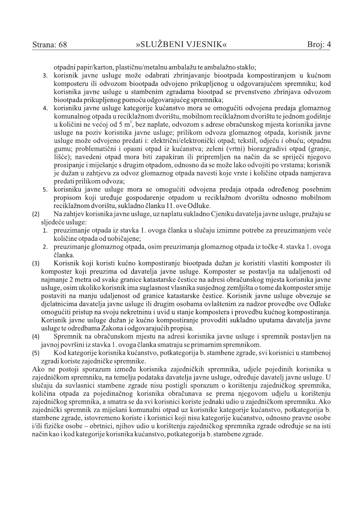otpadni papir/karton, plastičnu/metalnu ambalažu te ambalažno staklo;

- $3.$ korisnik javne usluge može odabrati zbrinjavanje biootpada kompostiranjem u kućnom komposteru ili odvozom biootpada odvojeno prikupljenog u odgovarajućem spremniku; kod korisnika javne usluge u stambenim zgradama biootpad se prvenstveno zbrinjava odvozom biootpada prikupljenog pomoću odgovarajućeg spremnika;
- korisniku javne usluge kategorije kućanstvo mora se omogućiti odvojena predaja glomaznog komunalnog otpada u reciklažnom dvorištu, mobilnom reciklažnom dvorištu te jednom godišnje u količini ne većoj od 5 m<sup>3</sup>, bez naplate, odvozom s adrese obračunskog mjesta korisnika javne usluge na poziv korisnika javne usluge; prilikom odvoza glomaznog otpada, korisnik javne usluge može odvojeno predati i: električni/elektronički otpad; tekstil, odjeću i obuću; otpadnu gumu; problematiční i opasní otpad iz kućanstva; zelení (vrtní) biorazgradivi otpad (granje, lišće); navedeni otpad mora biti zapakiran ili pripremljen na način da se spriječi njegovo prosipanje i miješanje s drugim otpadom, odnosno da se može lako odvojiti po vrstama; korisnik je dužan u zahtjevu za odvoz glomaznog otpada navesti koje vrste i količine otpada namjerava predati prilikom odvoza;
- 5. korisniku javne usluge mora se omogućiti odvojena predaja otpada određenog posebnim propisom koji uređuje gospodarenje otpadom u reciklažnom dvorištu odnosno mobilnom reciklažnom dvorištu, sukladno članku 11. ove Odluke.
- Na zahtjev korisnika javne usluge, uz naplatu sukladno Cjeniku davatelja javne usluge, pružaju se  $(2)$ sljedeće usluge:
	- 1. preuzimanje otpada iz stavka 1. ovoga članka u slučaju iznimne potrebe za preuzimanjem veće količine otpada od uobičajene:
	- preuzimanje glomaznog otpada, osim preuzimanja glomaznog otpada iz točke 4. stavka 1. ovoga  $2.$ članka.
- $(3)$ Korisnik koji koristi kućno kompostiranje biootpada dužan je koristiti vlastiti komposter ili komposter koji preuzima od davatelja javne usluge. Komposter se postavlja na udaljenosti od najmanje 2 metra od svake granice katastarske čestice na adresi obračunskog mjesta korisnika javne usluge, osim ukoliko korisnik ima suglasnost vlasnika susjednog zemljišta o tome da komposter smije postaviti na manju udaljenost od granice katastarske čestice. Korisnik javne usluge obvezuje se djelatnicima davatelja javne usluge ili drugim osobama ovlaštenim za nadzor provedbe ove Odluke omogućiti pristup na svoju nekretninu i uvid u stanje kompostera i provedbu kućnog kompostiranja. Korisnik javne usluge dužan je kućno kompostiranje provoditi sukladno uputama davatelja javne usluge te odredbama Zakona i odgovarajućih propisa.
- $(4)$ Spremnik na obračunskom mjestu na adresi korisnika javne usluge i spremnik postavljen na javnoj površini iz stavka 1. ovoga članka smatraju se primarnim spremnikom.
- $(5)$ Kod kategorije korisnika kućanstvo, potkategorija b. stambene zgrade, svi korisnici u stambenoj zgradi koriste zajedničke spremnike.

Ako ne postoji sporazum između korisnika zajedničkih spremnika, udjele pojedinih korisnika u zajedničkom spremniku, na temelju podataka davatelja javne usluge, određuje davatelj javne usluge. U slučaju da suvlasnici stambene zgrade nisu postigli sporazum o korištenju zajedničkog spremnika, količina otpada za pojedinačnog korisnika obračunava se prema njegovom udjelu u korištenju zajedničkog spremnika, a smatra se da svi korisnici koriste jednaki udio u zajedničkom spremniku. Ako zajednički spremnik za miješani komunalni otpad uz korisnike kategorije kućanstvo, potkategorija b. stambene zgrade, istovremeno koriste i korisnici koji nisu kategorije kućanstvo, odnosno pravne osobe i/ili fizičke osobe – obrtnici, njihov udio u korištenju zajedničkog spremnika zgrade određuje se na isti način kao i kod kategorije korisnika kućanstvo, potkategorija b. stambene zgrade.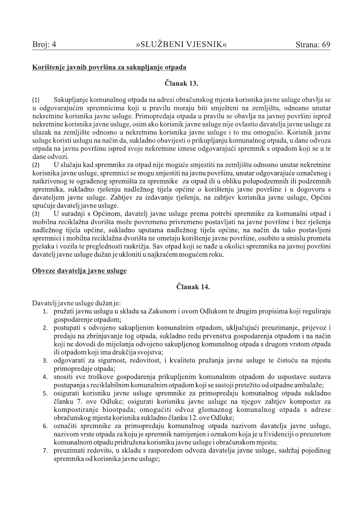#### Korištenje javnih površina za sakupljanje otpada

#### Članak 13.

Sakupljanje komunalnog otpada na adresi obračunskog mjesta korisnika javne usluge obavlja se  $(1)$ u odgovarajućim spremnicima koji u pravilu moraju biti smješteni na zemljištu, odnosno unutar nekretnine korisnika javne usluge. Primopredaja otpada u pravilu se obavlja na javnoj površini ispred nekretnine korisnika javne usluge, osim ako korisnik javne usluge nije ovlastio davatelja javne usluge za ulazak na zemljište odnosno u nekretninu korisnika javne usluge i to mu omogućio. Korisnik javne usluge koristi uslugu na način da, sukladno obavijesti o prikupljanju komunalnog otpada, u dane odvoza otpada na javnu površinu ispred svoje nekretnine iznese odgovarajući spremnik s otpadom koji se u te dane odvozi.

U slučaju kad spremnike za otpad nije moguće smjestiti na zemljištu odnosno unutar nekretnine  $(2)$ korisnika javne usluge, spremnici se mogu smjestiti na javnu površinu, unutar odgovarajuće označenog i natkrivenog te ograđenog spremišta za spremnike za otpad ili u obliku polupodzemnih ili podzemnih spremnika, sukladno rješenju nadležnog tijela općine o korištenju javne površine i u dogovoru s davateljem javne usluge. Zahtjev za izdavanje rješenja, na zahtjev korisnika javne usluge, Općini upućuje davatelj javne usluge.

U suradnji s Općinom, davatelj javne usluge prema potrebi spremnike za komunalni otpad i  $(3)$ mobilna reciklažna dvorišta može povremeno privremeno postavljati na javne površine i bez rješenja nadležnog tijela općine, sukladno uputama nadležnog tijela općine, na način da tako postavljeni spremnici i mobilna reciklažna dvorišta ne ometaju korištenje javne površine, osobito u smislu prometa pješaka i vozila te preglednosti raskrižja. Sav otpad koji se nađe u okolici spremnika na javnoj površini davatelj javne usluge dužan je ukloniti u najkraćem mogućem roku.

#### Obveze davatelja javne usluge

## Članak 14.

Davatelj javne usluge dužan je:

- 1. pružati javnu uslugu u skladu sa Zakonom i ovom Odlukom te drugim propisima koji reguliraju gospodarenje otpadom;
- 2. postupati s odvojeno sakupljenim komunalnim otpadom, uključujući preuzimanje, prijevoz i predaju na zbrinjavanje tog otpada, sukladno redu prvenstva gospodarenja otpadom i na način koji ne dovodi do miješanja odvojeno sakupljenog komunalnog otpada s drugom vrstom otpada ili otpadom koji ima drukčija svojstva:
- 3. odgovarati za sigurnost, redovitost, i kvalitetu pružanja javne usluge te čistoću na mjestu primopredaje otpada:
- 4. snositi sve troškove gospodarenja prikupljenim komunalnim otpadom do uspostave sustava postupanja s reciklabilnim komunalnim otpadom koji se sastoji pretežito od otpadne ambalaže;
- 5. osigurati korisniku javne usluge spremnike za primopredaju komunalnog otpada sukladno članku 7. ove Odluke; osigurati korisniku javne usluge na njegov zahtjev komposter za kompostiranje biootpada; omogućiti odvoz glomaznog komunalnog otpada s adrese obračunskog mjesta korisnika sukladno članku 12. ove Odluke:
- 6. označiti spremnike za primopredaju komunalnog otpada nazivom davatelja javne usluge, nazivom vrste otpada za koju je spremnik namijenjen i oznakom koja je u Evidenciji o preuzetom komunalnom otpadu pridružena korisniku javne usluge i obračunskom mjestu;
- 7. preuzimati redovito, u skladu s rasporedom odvoza davatelja javne usluge, sadržaj pojedinog spremnika od korisnika javne usluge;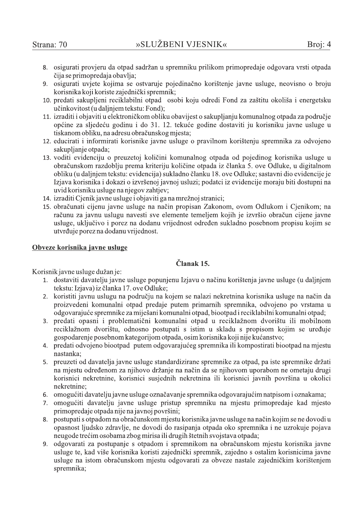- 8. osigurati provjeru da otpad sadržan u spremniku prilikom primopredaje odgovara vrsti otpada čija se primopredaja obavlja;
- 9. osigurati uvjete kojima se ostvaruje pojedinačno korištenje javne usluge, neovisno o broju korisnika koji koriste zajednički spremnik;
- 10. predati sakupljeni reciklabilni otpad osobi koju odredi Fond za zaštitu okoliša i energetsku učinkovitost (u daljnjem tekstu: Fond);
- 11. izraditi i objaviti u elektroničkom obliku obavijest o sakupljanju komunalnog otpada za područje općine za sliedeću godinu i do 31. 12. tekuće godine dostaviti iu korisniku javne usluge u tiskanom obliku, na adresu obračunskog mjesta;
- 12. educirati i informirati korisnike javne usluge o pravilnom korištenju spremnika za odvojeno sakupljanje otpada;
- 13. voditi evidenciju o preuzetoj količini komunalnog otpada od pojedinog korisnika usluge u obračunskom razdoblju prema kriteriju količine otpada iz članka 5. ove Odluke, u digitalnom obliku (u daljnjem tekstu: evidencija) sukladno članku 18. ove Odluke; sastavni dio evidencije je Izjava korisnika i dokazi o izvršenoj javnoj usluzi; podatci iz evidencije moraju biti dostupni na uvid korisniku usluge na njegov zahtjev;
- 14. izraditi Cjenik javne usluge i objaviti ga na mrežnoj stranici;
- 15. obračunati cijenu javne usluge na način propisan Zakonom, ovom Odlukom i Cjenikom; na računu za javnu uslugu navesti sve elemente temeljem kojih je izvršio obračun cijene javne usluge, uključivo i porez na dodanu vrijednost određen sukladno posebnom propisu kojim se utvrđuje porez na dodanu vrijednost.

#### Obveze korisnika javne usluge

#### Članak 15.

Korisnik javne usluge dužan je:

- 1. dostaviti davatelju javne usluge popunjenu Izjavu o načinu korištenja javne usluge (u daljnjem tekstu: Izjava) iz članka 17. ove Odluke;
- $2.$ koristiti javnu uslugu na području na kojem se nalazi nekretnina korisnika usluge na način da proizvedeni komunalni otpad predaje putem primarnih spremnika, odvojeno po vrstama u odgovarajuće spremnike za miješani komunalni otpad, biootpad i reciklabilni komunalni otpad;
- 3. predati opasni i problematični komunalni otpad u reciklažnom dvorištu ili mobilnom reciklažnom dvorištu, odnosno postupati s istim u skladu s propisom kojim se uređuje gospodarenje posebnom kategorijom otpada, osim korisnika koji nije kućanstvo;
- 4. predati odvojeno biootpad putem odgovarajućeg spremnika ili kompostirati biootpad na mjestu nastanka:
- 5. preuzeti od davatelja javne usluge standardizirane spremnike za otpad, pa iste spremnike držati na mjestu određenom za njihovo držanje na način da se njihovom uporabom ne ometaju drugi korisnici nekretnine, korisnici susjednih nekretnina ili korisnici javnih površina u okolici nekretnine:
- 6. omogućiti davatelju javne usluge označavanje spremnika odgovarajućim natpisom i oznakama;
- 7. omogućiti davatelju javne usluge pristup spremniku na mjestu primopredaje kad mjesto primopredaje otpada nije na javnoj površini;
- postupati s otpadom na obračunskom mjestu korisnika javne usluge na način kojim se ne dovodi u 8. opasnost ljudsko zdravlje, ne dovodi do rasipanja otpada oko spremnika i ne uzrokuje pojava neugode trećim osobama zbog mirisa ili drugih štetnih svojstava otpada;
- odgovarati za postupanje s otpadom i spremnikom na obračunskom mjestu korisnika javne 9. usluge te, kad više korisnika koristi zajednički spremnik, zajedno s ostalim korisnicima javne usluge na istom obračunskom mjestu odgovarati za obveze nastale zajedničkim korištenjem spremnika;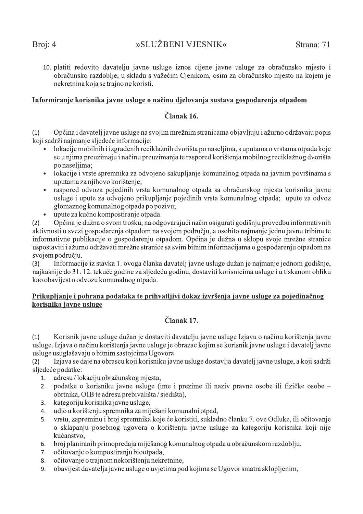10. platiti redovito davatelju javne usluge iznos cijene javne usluge za obračunsko mjesto i obračunsko razdoblje, u skladu s važećim Cjenikom, osim za obračunsko mjesto na kojem je nekretnina koja se trajno ne koristi.

### Informiranje korisnika javne usluge o načinu djelovanja sustava gospodarenja otpadom

## Članak 16.

Općina i davatelj javne usluge na svojim mrežnim stranicama objavljuju i ažurno održavaju popis  $(1)$ koji sadrži najmanje sljedeće informacije:

- lokacije mobilnih i izgrađenih reciklažnih dvorišta po naseljima, s uputama o vrstama otpada koje se u njima preuzimaju i načinu preuzimanja te raspored korištenja mobilnog reciklažnog dvorišta po naseljima;
- lokacije i vrste spremnika za odvojeno sakupljanje komunalnog otpada na javnim površinama s  $\bullet$ uputama za njihovo korištenje;
- raspored odvoza pojedinih vrsta komunalnog otpada sa obračunskog mjesta korisnika javne  $\bullet$ usluge i upute za odvojeno prikupljanje pojedinih vrsta komunalnog otpada; upute za odvoz glomaznog komunalnog otpada po pozivu;
- upute za kućno kompostiranje otpada.

Općina je dužna o svom trošku, na odgovarajući način osigurati godišnju provedbu informativnih  $(2)$ aktivnosti u svezi gospodarenia otpadom na svojem područiu, a osobito najmanje jednu javnu tribinu te informativne publikacije o gospodarenju otpadom. Općina je dužna u sklopu svoje mrežne stranice uspostaviti i ažurno održavati mrežne stranice sa svim bitnim informacijama o gospodarenju otpadom na svojem području.

 $(3)$ Informacije iz stavka 1. ovoga članka davatelj javne usluge dužan je najmanje jednom godišnje, najkasnije do 31. 12. tekuće godine za sljedeću godinu, dostaviti korisnicima usluge i u tiskanom obliku kao obavijest o odvozu komunalnog otpada.

### Prikupljanje i pohrana podataka te prihvatljivi dokaz izvršenja javne usluge za pojedinačnog korisnika javne usluge

# Članak 17.

 $(1)$ Korisnik javne usluge dužan je dostaviti davatelju javne usluge Izjavu o načinu korištenja javne usluge. Izjava o načinu korištenja javne usluge je obrazac kojim se korisnik javne usluge i davatelj javne usluge usuglašavaju o bitnim sastojcima Ugovora.

Izjava se daje na obrascu koji korisniku javne usluge dostavlja davatelj javne usluge, a koji sadrži  $(2)$ sljedeće podatke:

- $1.$ adresu/lokaciju obračunskog miesta.
- podatke o korisniku javne usluge (ime i prezime ili naziv pravne osobe ili fizičke osobe  $2.$ obrtnika, OIB te adresu prebivališta/sjedišta),
- kategoriju korisnika javne usluge,  $3.$
- udio u korištenju spremnika za miješani komunalni otpad, 4.
- vrstu, zapreminu i broj spremnika koje će koristiti, sukladno članku 7. ove Odluke, ili očitovanje 5. o sklapanju posebnog ugovora o korištenju javne usluge za kategoriju korisnika koji nije kućanstvo.
- broj planiranih primopredaja miješanog komunalnog otpada u obračunskom razdoblju, 6.
- očitovanje o kompostiranju biootpada,  $\overline{7}$ .
- očitovanje o trajnom nekorištenju nekretnine, 8.
- obavijest davatelja javne usluge o uvjetima pod kojima se Ugovor smatra sklopljenim, 9.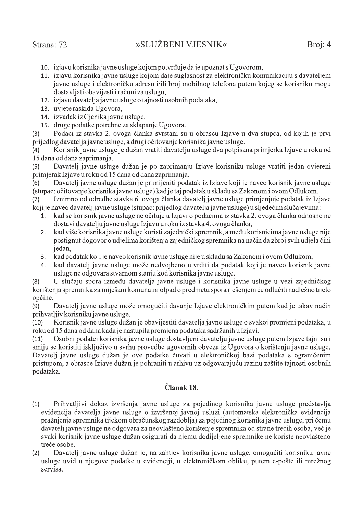- 10. izjavu korisnika javne usluge kojom potvrđuje da je upoznat s Ugovorom,
- 11. izjavu korisnika javne usluge kojom daje suglasnost za elektroničku komunikaciju s davateljem javne usluge i elektroničku adresu i/ili broj mobilnog telefona putem kojeg se korisniku mogu dostavljati obavijesti i računi za uslugu,
- 12. izjavu davatelja javne usluge o tajnosti osobnih podataka,
- 13. uvjete raskida Ugovora,
- 14. izvadak iz Cjenika javne usluge,
- 15. druge podatke potrebne za sklapanje Ugovora.

Podaci iz stavka 2. ovoga članka svrstani su u obrascu Izjave u dva stupca, od kojih je prvi  $(3)$ prijedlog davatelja javne usluge, a drugi očitovanje korisnika javne usluge.

 $(4)$ Korisnik javne usluge je dužan vratiti davatelju usluge dva potpisana primjerka Izjave u roku od 15 dana od dana zaprimania.

Davatelj javne usluge dužan je po zaprimanju Izjave korisniku usluge vratiti jedan ovjereni  $(5)$ primierak Izjave u roku od 15 dana od dana zaprimanja.

Davatelj javne usluge dužan je primijeniti podatak iz Izjave koji je naveo korisnik javne usluge  $(6)$ (stupac: očitovanie korisnika javne usluge) kad je taj podatak u skladu sa Zakonom i ovom Odlukom.

- Iznimno od odredbe stavka 6. ovoga članka davatelj javne usluge primjenjuje podatak iz Izjave  $(7)$ koji je naveo davatelj javne usluge (stupac: prijedlog davatelja javne usluge) u sljedećim slučajevima:
	- kad se korisnik javne usluge ne očituje u Izjavi o podacima iz stavka 2. ovoga članka odnosno ne  $1.$ dostavi davatelju javne usluge Izjavu u roku iz stavka 4. ovoga članka,
	- kad više korisnika javne usluge koristi zajednički spremnik, a među korisnicima javne usluge nije  $\overline{2}$ . postignut dogovor o udjelima korištenja zajedničkog spremnika na način da zbroj svih udjela čini jedan,
	- kad podatak koji je naveo korisnik javne usluge nije u skladu sa Zakonom i ovom Odlukom, 3.
	- kad davatelj javne usluge može nedvojbeno utvrditi da podatak koji je naveo korisnik javne  $\overline{4}$ . usluge ne odgovara stvarnom stanju kod korisnika javne usluge.

U slučaju spora između davatelja javne usluge i korisnika javne usluge u vezi zajedničkog  $(8)$ korištenja spremnika za miješani komunalni otpad o predmetu spora rješenjem će odlučiti nadležno tijelo općine.

Davatelj javne usluge može omogućiti davanje Izjave elektroničkim putem kad je takav način  $(9)$ prihvatljiv korisniku javne usluge.

Korisnik javne usluge dužan je obavijestiti davatelja javne usluge o svakoj promjeni podataka, u  $(10)$ roku od 15 dana od dana kada je nastupila promjena podataka sadržanih u Izjavi.

Osobni podatci korisnika javne usluge dostavljeni davatelju javne usluge putem Izjave tajni su i  $(11)$ smiju se koristiti isključivo u svrhu provedbe ugovornih obveza iz Ugovora o korištenju javne usluge. Davatelj javne usluge dužan je ove podatke čuvati u elektroničkoj bazi podataka s ograničenim pristupom, a obrasce Izjave dužan je pohraniti u arhivu uz odgovarajuću razinu zaštite tajnosti osobnih podataka.

# Članak 18.

- $(1)$ Prihvatljivi dokaz izvršenja javne usluge za pojedinog korisnika javne usluge predstavlja evidencija davatelja javne usluge o izvršenoj javnoj usluzi (automatska elektronička evidencija pražnjenja spremnika tijekom obračunskog razdoblja) za pojedinog korisnika javne usluge, pri čemu davateli javne usluge ne odgovara za neovlašteno korištenje spremnika od strane trećih osoba, već je svaki korisnik javne usluge dužan osigurati da njemu dodijeljene spremnike ne koriste neovlašteno treće osobe.
- Davatelj javne usluge dužan je, na zahtjev korisnika javne usluge, omogućiti korisniku javne  $(2)$ usluge uvid u njegove podatke u evidenciji, u elektroničkom obliku, putem e-pošte ili mrežnog servisa.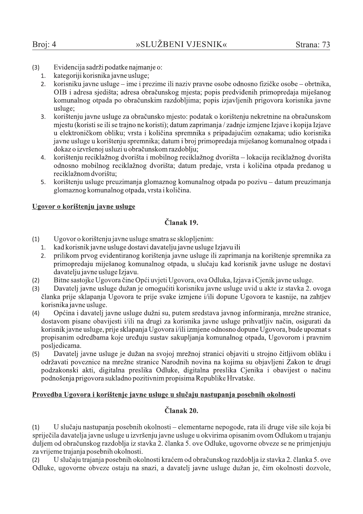- Evidencija sadrži podatke najmanje o:  $(3)$ 
	- $1.$ kategoriji korisnika javne usluge;
	- korisniku javne usluge ime i prezime ili naziv pravne osobe odnosno fizičke osobe obrtnika.  $2.$ OIB i adresa siedišta; adresa obračunskog miesta; popis predviđenih primopredaja miješanog komunalnog otpada po obračunskim razdobljima; popis izjavljenih prigovora korisnika javne usluge;
	- korištenju javne usluge za obračunsko mjesto: podatak o korištenju nekretnine na obračunskom 3. miestu (koristi se ili se traino ne koristi); datum zaprimania / zadnie izmiene Izjave i kopija Izjave u elektroničkom obliku; vrsta i količina spremnika s pripadajućim oznakama; udio korisnika javne usluge u korištenju spremnika; datum i broj primopredaja miješanog komunalnog otpada i dokaz o izvršenoj usluzi u obračunskom razdoblju;
	- korištenju reciklažnog dvorišta i mobilnog reciklažnog dvorišta lokacija reciklažnog dvorišta  $\overline{4}$ . odnosno mobilnog reciklažnog dvorišta; datum predaje, vrsta i količina otpada predanog u reciklažnom dvorištu:
	- korištenju usluge preuzimanja glomaznog komunalnog otpada po pozivu datum preuzimanja 5. glomaznog komunalnog otpada, vrsta i količina.

### Ugovor o korištenju javne usluge

## Članak 19.

- $(1)$ Ugovor o korištenju javne usluge smatra se sklopljenim:
	- 1. kad korisnik javne usluge dostavi davatelju javne usluge Izjavu ili
	- prilikom prvog evidentiranog korištenja javne usluge ili zaprimanja na korištenje spremnika za  $\overline{2}$ . primopredaju miješanog komunalnog otpada, u slučaju kad korisnik javne usluge ne dostavi davatelju javne usluge Izjavu.
- Bitne sastojke Ugovora čine Opći uvjeti Ugovora, ova Odluka, Izjava i Cjenik javne usluge.  $(2)$
- $(3)$ Davatelj javne usluge dužan je omogućiti korisniku javne usluge uvid u akte iz stavka 2. ovoga članka prije sklapanja Ugovora te prije svake izmjene i/ili dopune Ugovora te kasnije, na zahtjev korisnika javne usluge.
- Općina i davatelj javne usluge dužni su, putem sredstava javnog informiranja, mrežne stranice,  $(4)$ dostavom pisane obavijesti i/ili na drugi za korisnika javne usluge prihvatljiv način, osigurati da korisnik javne usluge, prije sklapanja Ugovora i/ili izmjene odnosno dopune Ugovora, bude upoznat s propisanim odredbama koje uređuju sustav sakupljanja komunalnog otpada. Ugovorom i pravnim posljedicama.
- Davatelj javne usluge je dužan na svojoj mrežnoj stranici objaviti u strojno čitljivom obliku i  $(5)$ održavati poveznice na mrežne stranice Narodnih novina na kojima su objavljeni Zakon te drugi podzakonski akti, digitalna preslika Odluke, digitalna preslika Cjenika i obavijest o načinu podnošenia prigovora sukladno pozitivnim propisima Republike Hrvatske.

### Provedba Ugovora i korištenje javne usluge u slučaju nastupanja posebnih okolnosti

### Članak 20.

U slučaju nastupanja posebnih okolnosti – elementarne nepogode, rata ili druge više sile koja bi  $(1)$ spriječila davatelja javne usluge u izvršenju javne usluge u okvirima opisanim ovom Odlukom u trajanju duljem od obračunskog razdoblja iz stavka 2. članka 5. ove Odluke, ugovorne obveze se ne primjenjuju za vrijeme trajanja posebnih okolnosti.

U slučaju trajanja posebnih okolnosti kraćem od obračunskog razdoblja iz stavka 2. članka 5. ove  $(2)$ Odluke, ugovorne obveze ostaju na snazi, a davatelj javne usluge dužan je, čim okolnosti dozvole,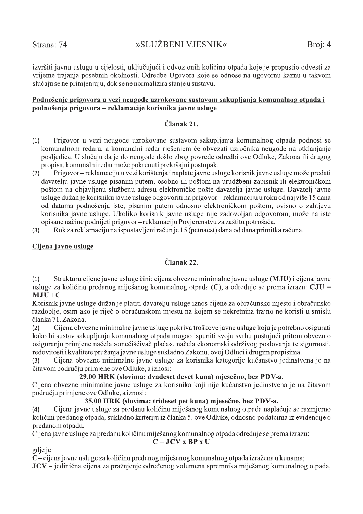izvršiti javnu uslugu u cijelosti, uključujući i odvoz onih količina otpada koje je propustio odvesti za vrijeme trajanja posebnih okolnosti. Odredbe Ugovora koje se odnose na ugovornu kaznu u takvom slučaju se ne primjenjuju, dok se ne normalizira stanje u sustavu.

#### Podnošenje prigovora u vezi neugode uzrokovane sustavom sakupljanja komunalnog otpada i podnošenja prigovora – reklamacije korisnika javne usluge

## Članak 21.

- Prigovor u vezi neugode uzrokovane sustavom sakupljanja komunalnog otpada podnosi se  $(1)$ komunalnom redaru, a komunalni redar rješenjem će obvezati uzročnika neugode na otklanjanje posljedica. U slučaju da je do neugode došlo zbog povrede odredbi ove Odluke, Zakona ili drugog propisa, komunalni redar može pokrenuti prekršajni postupak.
- Prigovor reklamaciju u vezi korištenja i naplate javne usluge korisnik javne usluge može predati  $(2)$ davatelju javne usluge pisanim putem, osobno ili poštom na urudžbeni zapisnik ili elektroničkom poštom na objavljenu službenu adresu elektroničke pošte davatelja javne usluge. Davatelj javne usluge dužan je korisniku javne usluge odgovoriti na prigovor-reklamaciju u roku od najviše 15 dana od datuma podnošenia iste, pisanim putem odnosno elektroničkom poštom, ovisno o zahtievu korisnika javne usluge. Ukoliko korisnik javne usluge nije zadovoljan odgovorom, može na iste opisane načine podnijeti prigovor – reklamaciju Povjerenstvu za zaštitu potrošača.
- Rok za reklamaciju na ispostavljeni račun je 15 (petnaest) dana od dana primitka računa.  $(3)$

#### Cijena javne usluge

## Članak 22.

Strukturu cijene javne usluge čini: cijena obvezne minimalne javne usluge (MJU) i cijena javne  $(1)$ usluge za količinu predanog miješanog komunalnog otpada  $(C)$ , a određuje se prema izrazu:  $CJU =$  $MJU+C$ 

Korisnik javne usluge dužan je platiti davatelju usluge iznos cijene za obračunsko mjesto i obračunsko razdoblie, osim ako je riječ o obračunskom mjestu na kojem se nekretnina trajno ne koristi u smislu članka 71. Zakona.

Cijena obvezne minimalne javne usluge pokriva troškove javne usluge koju je potrebno osigurati  $(2)$ kako bi sustav sakupljanja komunalnog otpada mogao ispuniti svoju svrhu poštujući pritom obvezu o osiguranju primjene načela »onečišćivač plaća«, načela ekonomski održivog poslovanja te sigurnosti, redovitosti i kvalitete pružanja javne usluge sukladno Zakonu, ovoj Odluci i drugim propisima.

Cijena obvezne minimalne javne usluge za korisnika kategorije kućanstvo jedinstvena je na  $(3)$ čitavom području primjene ove Odluke, a iznosi:

### 29,00 HRK (slovima: dvadeset devet kuna) mjesečno, bez PDV-a.

Cijena obvezne minimalne javne usluge za korisnika koji nije kućanstvo jedinstvena je na čitavom području primjene ove Odluke, a iznosi:

### 35,00 HRK (slovima: trideset pet kuna) mjesečno, bez PDV-a.

Cijena javne usluge za predanu količinu miješanog komunalnog otpada naplaćuje se razmjerno  $(4)$ količini predanog otpada, sukladno kriteriju iz članka 5. ove Odluke, odnosno podatcima iz evidencije o predanom otpadu.

Cijena javne usluge za predanu količinu miješanog komunalnog otpada određuje se prema izrazu:

$$
C = JCV \times BP \times U
$$

gdie je:

 $C$  – cijena javne usluge za količinu predanog miješanog komunalnog otpada izražena u kunama;

 $JCV - jedinična cijena za pražnjenje određenog volumena spremnika miješanog komunalnog otpada,$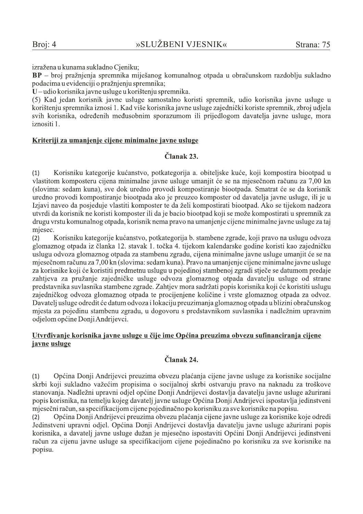izražena u kunama sukladno Cjeniku;

BP – broj pražnjenja spremnika miješanog komunalnog otpada u obračunskom razdoblju sukladno podacima u evidenciji o pražnjenju spremnika;

 $U$  – udio korisnika javne usluge u korištenju spremnika.

(5) Kad jedan korisnik javne usluge samostalno koristi spremnik, udio korisnika javne usluge u korištenju spremnika iznosi 1. Kad više korisnika javne usluge zajednički koriste spremnik, zbroj udjela svih korisnika, određenih međusobnim sporazumom ili prijedlogom davatelja javne usluge, mora iznositi 1.

#### Kriteriji za umanjenje cijene minimalne javne usluge

## Članak 23.

Korisniku kategorije kućanstvo, potkategorija a. obiteljske kuće, koji kompostira biootpad u  $(1)$ vlastitom komposteru cijena minimalne javne usluge umanjit će se na mjesečnom računu za 7,00 kn (slovima: sedam kuna), sve dok uredno provodi kompostiranje biootpada. Smatrat će se da korisnik uredno provodi kompostiranje biootpada ako je preuzeo komposter od davatelja javne usluge, ili je u Izjavi naveo da posjeduje vlastiti komposter te da želi kompostirati biootpad. Ako se tijekom nadzora utvrdi da korisnik ne koristi komposter ili da je bacio biootpad koji se može kompostirati u spremnik za drugu vrstu komunalnog otpada, korisnik nema pravo na umanjenje cijene minimalne javne usluge za taj mjesec.

Korisniku kategorije kućanstvo, potkategorija b. stambene zgrade, koji pravo na uslugu odvoza  $(2)$ glomaznog otpada iz članka 12. stavak 1. točka 4. tijekom kalendarske godine koristi kao zajedničku uslugu odvoza glomaznog otpada za stambenu zgradu, cijena minimalne javne usluge umanjit će se na mjesečnom računu za 7,00 kn (slovima: sedam kuna). Pravo na umanjenje cijene minimalne javne usluge za korisnike koji će koristiti predmetnu uslugu u pojedinoj stambenoj zgradi stječe se datumom predaje zahtjeva za pružanje zajedničke usluge odvoza glomaznog otpada davatelju usluge od strane predstavnika suvlasnika stambene zgrade. Zahtjev mora sadržati popis korisnika koji će koristiti uslugu zajedničkog odvoza glomaznog otpada te procijenjene količine i vrste glomaznog otpada za odvoz. Davatelj usluge odredit će datum odvoza i lokaciju preuzimanja glomaznog otpada u blizini obračunskog mjesta za pojedinu stambenu zgradu, u dogovoru s predstavnikom suvlasnika i nadležnim upravnim odielom općine Donji Andrijevci.

### Utvrđivanje korisnika javne usluge u čije ime Općina preuzima obvezu sufinanciranja cijene javne usluge

## Članak 24.

 $(1)$ Općina Donji Andrijevci preuzima obvezu plaćanja cijene javne usluge za korisnike socijalne skrbi koji sukladno važećim propisima o socijalnoj skrbi ostvaruju pravo na naknadu za troškove stanovania. Nadležni upravni odjel općine Donij Andrijevci dostavlja davatelju javne usluge ažurirani popis korisnika, na temelju kojeg davatelj javne usluge Općina Donji Andrijevci ispostavlja jedinstveni mjesečni račun, sa specifikacijom cijene pojedinačno po korisniku za sve korisnike na popisu.

 $(2)$ Općina Donji Andrijevci preuzima obvezu plaćanja cijene javne usluge za korisnike koje odredi Jedinstveni upravni odjel. Općina Donji Andrijevci dostavlja davatelju javne usluge ažurirani popis korisnika, a davatelj javne usluge dužan je mjesečno ispostaviti Općini Donji Andrijevci jedinstveni račun za cijenu javne usluge sa specifikacijom cijene pojedinačno po korisniku za sve korisnike na popisu.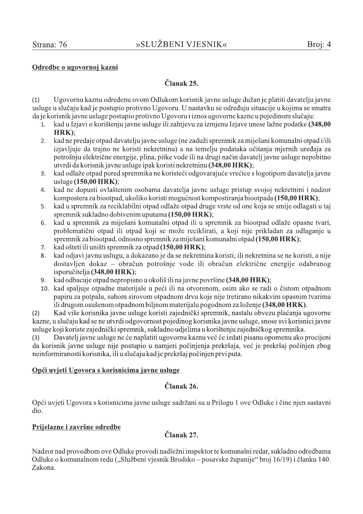#### Odredbe o ugovornoj kazni

### Članak 25.

Ugovornu kaznu određenu ovom Odlukom korisnik javne usluge dužan je platiti davatelju javne  $(1)$ usluge u slučaju kad je postupio protivno Ugovoru. U nastavku se određuju situacije u kojima se smatra da je korisnik javne usluge postupio protivno Ugovoru i iznos ugovorne kazne u pojedinom slučaju:

- kad u Izjavi o korištenju javne usluge ili zahtjevu za izmienu Izjave unese lažne podatke (348.00  $\mathbf{1}$ . HRK):
- kad ne predaje otpad davatelju javne usluge (ne zaduži spremnik za miješani komunalni otpad i/ili  $2.$ izjavljuje da trajno ne koristi nekretninu) a na temelju podataka očitanja mjernih uređaja za potrošnju električne energije, plina, pitke vode ili na drugi način davatelj javne usluge nepobitno utvrdi da korisnik javne usluge ipak koristi nekretninu (348,00 HRK);
- kad odlaže otpad pored spremnika ne koristeći odgovarajuće vrećice s logotipom davatelia javne  $\overline{3}$ . usluge  $(150,00$  HRK);
- kad ne dopusti ovlaštenim osobama davatelja javne usluge pristup svojoj nekretnini i nadzor 4. kompostera za biootpad, ukoliko koristi mogućnost kompostiranja biootpada (150.00 HRK);
- $5.$ kad u spremnik za reciklabilni otpad odlaže otpad druge vrste od one koja se smije odlagati u taj spremnik sukladno dobivenim uputama (150,00 HRK);
- kad u spremnik za miješani komunalni otpad ili u spremnik za biootpad odlaže opasne tvari, 6. problematični otpad ili otpad koji se može reciklirati, a koji nije prikladan za odlaganje u spremnik za biootpad, odnosno spremnik za miješani komunalni otpad (150,00 HRK);
- $7.$ kad ošteti ili uništi spremnik za otpad (150,00 HRK);
- kad odjavi javnu uslugu, a dokazano je da se nekretnina koristi; ili nekretnina se ne koristi, a nije 8. dostavljen dokaz – obračun potrošnje vode ili obračun električne energije odabranog isporučitelja (348,00 HRK);
- kad odbacuje otpad nepropisno u okolišili na javne površine (348,00 HRK);  $\mathsf{q}$ .
- 10. kad spaljuje otpadne materijale u peći ili na otvorenom, osim ako se radi o čistom otpadnom papiru za potpalu, suhom sirovom otpadnom drvu koje nije tretirano nikakvim opasnim tvarima ili drugom osušenom otpadnom bilinom materijalu pogodnom za loženie  $(348.00 \text{ HRK})$ .

Kad više korisnika javne usluge koristi zajednički spremnik, nastalu obvezu plaćanja ugovorne  $(2)$ kazne, u slučaju kad se ne utvrdi odgovornost pojedinog korisnika javne usluge, snose svi korisnici javne usluge koji koriste zajednički spremnik, sukladno udjelima u korištenju zajedničkog spremnika.

Davateli javne usluge ne će naplatiti ugovornu kaznu već će izdati pisanu opomenu ako procijeni  $(3)$ da korisnik javne usluge nije postupio u namjeri počinjenja prekršaja, već je prekršaj počinjen zbog neinformiranosti korisnika, ili u slučaju kad je prekršaj počinjen prvi puta.

#### Opći uvjeti Ugovora s korisnicima javne usluge

### Članak 26.

Opći uvjeti Ugovora s korisnicima javne usluge sadržani su u Prilogu 1 ove Odluke i čine njen sastavni dio.

#### Prijelazne i završne odredbe

## Članak 27.

Nadzor nad provedbom ove Odluke provodi nadležni inspektor te komunalni redar, sukladno odredbama Odluke o komunalnom redu ("Službeni vjesnik Brodsko – posavske županije" broj 16/19) i članku 140. Zakona.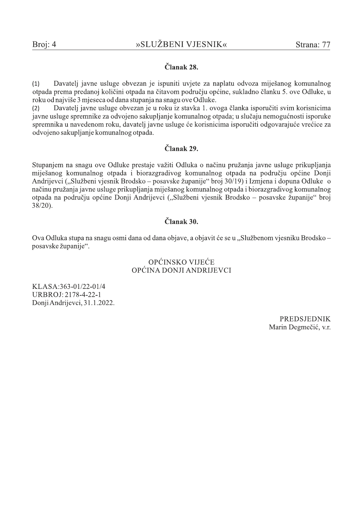#### Članak 28.

Davatelj javne usluge obvezan je ispuniti uvjete za naplatu odvoza miješanog komunalnog  $(1)$ otpada prema predanoj količini otpada na čitavom područiu općine, sukladno članku 5. ove Odluke, u roku od najviše 3 mjeseca od dana stupanja na snagu ove Odluke.

Davatelj javne usluge obvezan je u roku iz stavka 1. ovoga članka isporučiti svim korisnicima  $(2)$ javne usluge spremnike za odvojeno sakupljanje komunalnog otpada; u slučaju nemogućnosti isporuke spremnika u navedenom roku, davatelj javne usluge će korisnicima isporučiti odgovarajuće vrećice za odvojeno sakupljanje komunalnog otpada.

### Članak 29.

Stupanjem na snagu ove Odluke prestaje važiti Odluka o načinu pružanja javne usluge prikupljanja miješanog komunalnog otpada i biorazgradivog komunalnog otpada na području općine Donji Andrijevci ("Službeni vjesnik Brodsko – posavske županije" broj 30/19) i Izmjena i dopuna Odluke o načinu pružanja javne usluge prikupljanja miješanog komunalnog otpada i biorazgradivog komunalnog otpada na području općine Donji Andrijevci ("Službeni vjesnik Brodsko – posavske županije" broj  $38/20$ ).

#### Članak 30.

Ova Odluka stupa na snagu osmi dana od dana objave, a objavit će se u "Službenom vjesniku Brodsko – posavske županije".

#### OPĆINSKO VIJEĆE OPĆINA DONJI ANDRIJEVCI

KLASA:363-01/22-01/4 URBROJ: 2178-4-22-1 Donji Andrijevci, 31.1.2022.

> **PREDSJEDNIK** Marin Degmečić, v.r.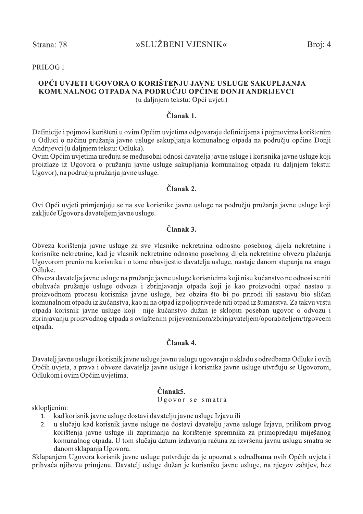#### PRILOG<sub>1</sub>

# OPĆI UVJETI UGOVORA O KORIŠTENJU JAVNE USLUGE SAKUPLJANJA KOMUNALNOG OTPADA NA PODRUČJU OPĆINE DONJI ANDRIJEVCI

(u daljnjem tekstu: Opći uvjeti)

### Članak 1.

Definicije i pojmovi korišteni u ovim Općim uvjetima odgovaraju definicijama i pojmovima korištenim u Odluci o načinu pružanja javne usluge sakupljanja komunalnog otpada na području općine Donji Andrijevci (u daljnjem tekstu: Odluka).

Ovim Općim uvjetima uređuju se međusobni odnosi davatelja javne usluge i korisnika javne usluge koji proizlaze iz Ugovora o pružanju javne usluge sakupljanja komunalnog otpada (u daljnjem tekstu: Ugovor), na području pružanja javne usluge.

#### Članak 2.

Ovi Opći uvjeti primjenjuju se na sve korisnike javne usluge na području pružanja javne usluge koji zaključe Ugovor s davateljem javne usluge.

#### Članak 3.

Obveza korištenja javne usluge za sve vlasnike nekretnina odnosno posebnog dijela nekretnine i korisnike nekretnine, kad je vlasnik nekretnine odnosno posebnog dijela nekretnine obvezu plaćanja Ugovorom prenio na korisnika i o tome obavijestio davatelja usluge, nastaje danom stupanja na snagu Odluke.

Obveza davatelja javne usluge na pružanje javne usluge korisnicima koji nisu kućanstvo ne odnosi se niti obuhvaća pružanje usluge odvoza i zbrinjavanja otpada koji je kao proizvodni otpad nastao u proizvodnom procesu korisnika javne usluge, bez obzira što bi po prirodi ili sastavu bio sličan komunalnom otpadu iz kućanstva, kao ni na otpad iz poljoprivrede niti otpad iz šumarstva. Za takvu vrstu otpada korisnik javne usluge koji nije kućanstvo dužan je sklopiti poseban ugovor o odvozu i zbrinjavanju proizvodnog otpada s ovlaštenim prijevoznikom/zbrinjavateljem/oporabiteljem/trgovcem otpada.

### Članak 4.

Davatelj javne usluge i korisnik javne usluge javnu uslugu ugovaraju u skladu s odredbama Odluke i ovih Općih uvjeta, a prava i obveze davatelja javne usluge i korisnika javne usluge utvrđuju se Ugovorom, Odlukom i ovim Općim uvjetima.

# Članak5.

Ugovor se smatra

sklopljenim:

- kad korisnik javne usluge dostavi davatelju javne usluge Izjavu ili  $1.$
- u slučaju kad korisnik javne usluge ne dostavi davatelju javne usluge Izjavu, prilikom prvog  $2.$ korištenja javne usluge ili zaprimanja na korištenje spremnika za primopredaju miješanog komunalnog otpada. U tom slučaju datum izdavanja računa za izvršenu javnu uslugu smatra se danom sklapanja Ugovora.

Sklapanjem Ugovora korisnik javne usluge potvrđuje da je upoznat s odredbama ovih Općih uvjeta i prihvaća njihovu primjenu. Davatelj usluge dužan je korisniku javne usluge, na njegov zahtjev, bez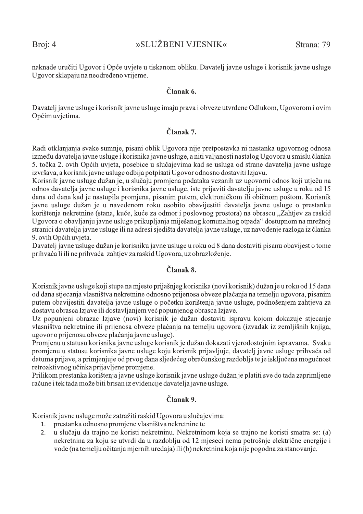naknade uručiti Ugovor i Opće uvjete u tiskanom obliku. Davatelj javne usluge i korisnik javne usluge Ugovor sklapaju na neodređeno vrijeme.

#### Članak 6.

Davatelj javne usluge i korisnik javne usluge imaju prava i obveze utvrđene Odlukom, Ugovorom i ovim Općim uvjetima.

#### Članak 7.

Radi otklanjanja svake sumnje, pisani oblik Ugovora nije pretpostavka ni nastanka ugovornog odnosa između davatelja javne usluge i korisnika javne usluge, a niti valjanosti nastalog Ugovora u smislu članka 5. točka 2. ovih Općih uvjeta, posebice u slučajevima kad se usluga od strane davatelja javne usluge izvršava, a korisnik javne usluge odbija potpisati Ugovor odnosno dostaviti Izjavu.

Korisnik javne usluge dužan je, u slučaju promjena podataka vezanih uz ugovorni odnos koji utječu na odnos davatelja javne usluge i korisnika javne usluge, iste prijaviti davatelju javne usluge u roku od 15 dana od dana kad je nastupila promjena, pisanim putem, elektroničkom ili običnom poštom. Korisnik javne usluge dužan je u navedenom roku osobito obavijestiti davatelja javne usluge o prestanku korištenja nekretnine (stana, kuće, kuće za odmor i poslovnog prostora) na obrascu "Zahtjev za raskid Ugovora o obavljanju javne usluge prikupljanja miješanog komunalnog otpada" dostupnom na mrežnoj stranici davatelja javne usluge ili na adresi sjedišta davatelja javne usluge, uz navođenje razloga iz članka 9. ovih Općih uvjeta.

Davatelj javne usluge dužan je korisniku javne usluge u roku od 8 dana dostaviti pisanu obavijest o tome prihvaća li ili ne prihvaća zahtjev za raskid Ugovora, uz obrazloženje.

### Članak 8.

Korisnik javne usluge koji stupa na mjesto prijašnjeg korisnika (novi korisnik) dužan je u roku od 15 dana od dana stjecanja vlasništva nekretnine odnosno prijenosa obveze plaćanja na temelju ugovora, pisanim putem obavijestiti davatelja javne usluge o početku korištenja javne usluge, podnošenjem zahtjeva za dostavu obrasca Izjave ili dostavljanjem već popunjenog obrasca Izjave.

Uz popunjeni obrazac Izjave (novi) korisnik je dužan dostaviti ispravu kojom dokazuje stjecanje vlasništva nekretnine ili prijenosa obveze plaćanja na temelju ugovora (izvadak iz zemljišnih knjiga, ugovor o prijenosu obveze plaćanja javne usluge).

Promjenu u statusu korisnika javne usluge korisnik je dužan dokazati vjerodostojnim ispravama. Svaku promjenu u statusu korisnika javne usluge koju korisnik prijavljuje, davatelj javne usluge prihvaća od datuma prijave, a primjenjuje od prvog dana sljedećeg obračunskog razdoblja te je isključena mogućnost retroaktivnog učinka prijavljene promjene.

Prilikom prestanka korištenja javne usluge korisnik javne usluge dužan je platiti sve do tada zaprimljene račune i tek tada može biti brisan iz evidencije davatelja javne usluge.

### Članak 9.

Korisnik javne usluge može zatražiti raskid Ugovora u slučajevima:

- prestanka odnosno promjene vlasništva nekretnine te  $1.$
- u slučaju da trajno ne koristi nekretninu. Nekretninom koja se trajno ne koristi smatra se: (a)  $\overline{2}$ . nekretnina za koju se utvrdi da u razdoblju od 12 mjeseci nema potrošnje električne energije i vode (na temelju očitanja mjernih uređaja) ili (b) nekretnina koja nije pogodna za stanovanje.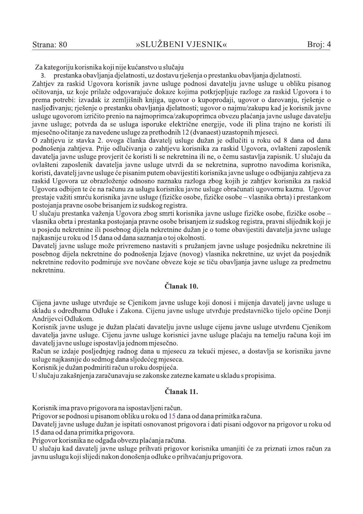Za kategoriju korisnika koji nije kućanstvo u slučaju

prestanka obavljanja djelatnosti, uz dostavu rješenja o prestanku obavljanja djelatnosti.

Zahtjev za raskid Ugovora korisnik javne usluge podnosi davatelju javne usluge u obliku pisanog očitovanja, uz koje prilaže odgovarajuće dokaze kojima potkrjepljuje razloge za raskid Ugovora i to prema potrebi: izvadak iz zemljišnih knjiga, ugovor o kupoprodaji, ugovor o darovanju, rješenje o nasljeđivanju; rješenje o prestanku obavljanja djelatnosti; ugovor o najmu/zakupu kad je korisnik javne usluge ugovorom izričito prenio na najmoprimca/zakupoprimca obvezu plaćanja javne usluge davatelju javne usluge; potvrda da se usluga isporuke električne energije, vode ili plina trajno ne koristi ili miesečno očitanje za navedene usluge za prethodnih 12 (dvanaest) uzastopnih mjeseci.

O zahtjevu iz stavka 2. ovoga članka davatelj usluge dužan je odlučiti u roku od 8 dana od dana podnošenja zahtjeva. Prije odlučivanja o zahtjevu korisnika za raskid Ugovora, ovlašteni zaposlenik davatelja javne usluge provjerit će koristi li se nekretnina ili ne, o čemu sastavlja zapisnik. U slučaju da ovlašteni zaposlenik davatelja javne usluge utvrdi da se nekretnina, suprotno navodima korisnika, koristi, davatelj javne usluge će pisanim putem obavijestiti korisnika javne usluge o odbijanju zahtjeva za raskid Ugovora uz obrazloženje odnosno naznaku razloga zbog kojih je zahtjev korisnika za raskid Ugovora odbijen te će na računu za uslugu korisniku javne usluge obračunati ugovornu kaznu. Ugovor prestaje važiti smrću korisnika javne usluge (fizičke osobe, fizičke osobe – vlasnika obrta) i prestankom postojanja pravne osobe brisanjem iz sudskog registra.

U slučaju prestanka važenja Ugovora zbog smrti korisnika javne usluge fizičke osobe, fizičke osobe – vlasnika obrta i prestanka postojanja pravne osobe brisanjem iz sudskog registra, pravni slijednik koji je u posjedu nekretnine ili posebnog dijela nekretnine dužan je o tome obavijestiti davatelja javne usluge najkasnije u roku od 15 dana od dana saznanja o toj okolnosti.

Davatelj javne usluge može privremeno nastaviti s pružanjem javne usluge posjedniku nekretnine ili posebnog dijela nekretnine do podnošenja Izjave (novog) vlasnika nekretnine, uz uvjet da posjednik nekretnine redovito podmiruje sve novčane obveze koje se tiču obavljanja javne usluge za predmetnu nekretninu.

## Članak 10.

Cijena javne usluge utvrđuje se Cjenikom javne usluge koji donosi i mijenja davatelj javne usluge u skladu s odredbama Odluke i Zakona. Cijenu javne usluge utvrđuje predstavničko tijelo općine Donji Andrijevci Odlukom.

Korisnik javne usluge je dužan plaćati davatelju javne usluge cijenu javne usluge utvrđenu Cjenikom davatelja javne usluge. Cijenu javne usluge korisnici javne usluge plaćaju na temelju računa koji im davatelj javne usluge ispostavlja jednom mjesečno.

Račun se izdaje posliednieg radnog dana u miesecu za tekući miesec, a dostavlja se korisniku javne usluge najkasnije do sedmog dana sljedećeg mjeseca.

Korisnik je dužan podmiriti račun u roku dospijeća.

U slučaju zakašnjenja zaračunavaju se zakonske zatezne kamate u skladu s propisima.

## Članak 11.

Korisnik ima pravo prigovora na ispostavljeni račun.

Prigovor se podnosi u pisanom obliku u roku od 15 dana od dana primitka računa.

Davatelj javne usluge dužan je ispitati osnovanost prigovora i dati pisani odgovor na prigovor u roku od 15 dana od dana primitka prigovora.

Prigovor korisnika ne odgađa obvezu plaćanja računa.

U slučaju kad davatelj javne usluge prihvati prigovor korisnika umanjiti će za priznati iznos račun za javnu uslugu koji slijedi nakon donošenja odluke o prihvaćanju prigovora.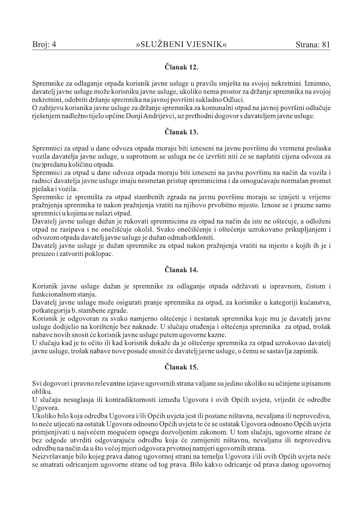## Članak 12.

Spremnike za odlaganje otpada korisnik javne usluge u pravilu smješta na svojoj nekretnini. Iznimno, davatelj javne usluge može korisniku javne usluge, ukoliko nema prostor za držanje spremnika na svojoj nekretnini, odobriti držanje spremnika na javnoj površini sukladno Odluci.

O zahtjevu korisnika javne usluge za držanje spremnika za komunalni otpad na javnoj površini odlučuje rješenjem nadležno tijelo općine Donji Andrijevci, uz prethodni dogovor s davateljem javne usluge.

## Članak 13.

Spremnici za otpad u dane odvoza otpada moraju biti izneseni na javnu površinu do vremena prolaska vozila davatelja javne usluge, u suprotnom se usluga ne će izvršiti niti će se naplatiti cijena odvoza za (ne) predanu količinu otpada.

Spremnici za otpad u dane odvoza otpada moraju biti izneseni na javnu površinu na način da vozila i radnici davatelja javne usluge imaju nesmetan pristup spremnicima i da omogućavaju normalan promet pješaka i vozila.

Spremnike iz spremišta za otpad stambenih zgrada na javnu površinu moraju se iznijeti u vrijeme pražnjenja spremnika te nakon pražnjenja vratiti na njihovo prvobitno mjesto. Iznose se i prazne samo spremnici u kojima se nalazi otpad.

Davatelj javne usluge dužan je rukovati spremnicima za otpad na način da iste ne oštećuje, a odloženi otpad ne rasipava i ne onečišćuje okoliš. Svako onečišćenje i oštećenje uzrokovano prikupljanjem i odvozom otpada davatelj javne usluge je dužan odmah otkloniti.

Davatelj javne usluge je dužan spremnike za otpad nakon pražnjenja vratiti na mjesto s kojih ih je i preuzeo i zatvoriti poklopac.

## Članak 14.

Korisnik javne usluge dužan je spremnike za odlaganje otpada održavati u ispravnom, čistom i funkcionalnom stanju.

Davatelj javne usluge može osigurati pranje spremnika za otpad, za korisnike u kategoriji kućanstva, potkategorija b. stambene zgrade.

Korisnik je odgovoran za svako namjerno oštećenje i nestanak spremnika koje mu je davatelj javne usluge dodijelio na korištenje bez naknade. U slučaju otuđenja i oštećenja spremnika za otpad, trošak nabave novih snosit će korisnik javne usluge putem ugovorne kazne.

U slučaju kad je to očito ili kad korisnik dokaže da je oštećenje spremnika za otpad uzrokovao davatelj javne usluge, trošak nabave nove posude snosit će davatelj javne usluge, o čemu se sastavlja zapisnik.

## Članak 15.

Svi dogovori i pravno relevantne izjave ugovornih strana valjane su jedino ukoliko su učinjene u pisanom obliku.

U slučaju nesuglasja ili kontradiktornosti između Ugovora i ovih Općih uvjeta, vrijedit će odredbe Ugovora.

Ukoliko bilo koja odredba Ugovora i/ili Općih uvjeta jest ili postane ništavna, nevaljana ili neprovediva, to neće utjecati na ostatak Ugovora odnosno Općih uvjeta te će se ostatak Ugovora odnosno Općih uvjeta primjenjivati u najvećem mogućem opsegu dozvoljenim zakonom. U tom slučaju, ugovorne strane će bez odgode utvrditi odgovarajuću odredbu koja će zamijeniti ništavnu, nevaljanu ili neprovedivu odredbu na način da u što većoj mjeri odgovora prvotnoj namjeri ugovornih strana.

Neizvršavanje bilo kojeg prava danog ugovornoj strani na temelju Ugovora i/ili ovih Općih uvjeta neće se smatrati odricanjem ugovorne strane od tog prava. Bilo kakvo odricanje od prava danog ugovornoj